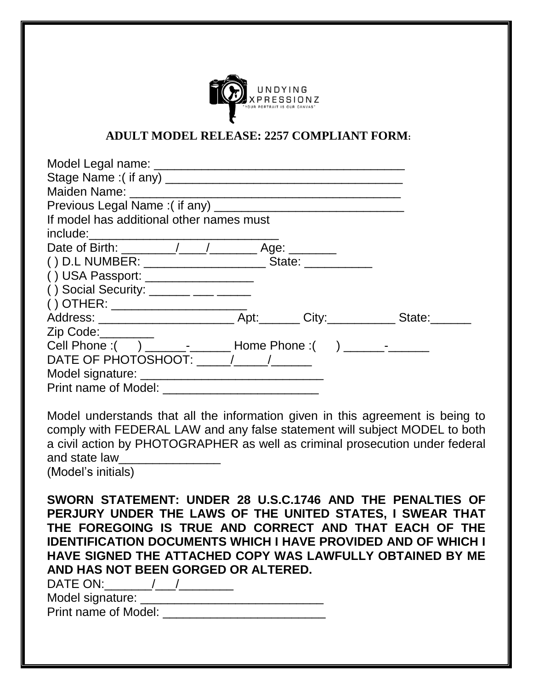

## **ADULT MODEL RELEASE: 2257 COMPLIANT FORM:**

| If model has additional other names must                                                                                                                                                                                                                                                                    |  |
|-------------------------------------------------------------------------------------------------------------------------------------------------------------------------------------------------------------------------------------------------------------------------------------------------------------|--|
| include:                                                                                                                                                                                                                                                                                                    |  |
|                                                                                                                                                                                                                                                                                                             |  |
|                                                                                                                                                                                                                                                                                                             |  |
| () USA Passport: _________________                                                                                                                                                                                                                                                                          |  |
| () Social Security: $\frac{1}{1}$ $\frac{1}{1}$ $\frac{1}{1}$ $\frac{1}{1}$ $\frac{1}{1}$ $\frac{1}{1}$ $\frac{1}{1}$ $\frac{1}{1}$ $\frac{1}{1}$ $\frac{1}{1}$ $\frac{1}{1}$ $\frac{1}{1}$ $\frac{1}{1}$ $\frac{1}{1}$ $\frac{1}{1}$ $\frac{1}{1}$ $\frac{1}{1}$ $\frac{1}{1}$ $\frac{1}{1}$ $\frac{1}{1}$ |  |
| () OTHER: _______________________                                                                                                                                                                                                                                                                           |  |
|                                                                                                                                                                                                                                                                                                             |  |
| Zip Code: 2000                                                                                                                                                                                                                                                                                              |  |
|                                                                                                                                                                                                                                                                                                             |  |
| DATE OF PHOTOSHOOT: $\sqrt{2}$                                                                                                                                                                                                                                                                              |  |
|                                                                                                                                                                                                                                                                                                             |  |
|                                                                                                                                                                                                                                                                                                             |  |

Model understands that all the information given in this agreement is being to comply with FEDERAL LAW and any false statement will subject MODEL to both a civil action by PHOTOGRAPHER as well as criminal prosecution under federal and state law

(Model's initials)

**SWORN STATEMENT: UNDER 28 U.S.C.1746 AND THE PENALTIES OF PERJURY UNDER THE LAWS OF THE UNITED STATES, I SWEAR THAT THE FOREGOING IS TRUE AND CORRECT AND THAT EACH OF THE IDENTIFICATION DOCUMENTS WHICH I HAVE PROVIDED AND OF WHICH I HAVE SIGNED THE ATTACHED COPY WAS LAWFULLY OBTAINED BY ME AND HAS NOT BEEN GORGED OR ALTERED.**

| DATE ON:         |  |
|------------------|--|
| Model signature: |  |

Print name of Model: \_\_\_\_\_\_\_\_\_\_\_\_\_\_\_\_\_\_\_\_\_\_\_\_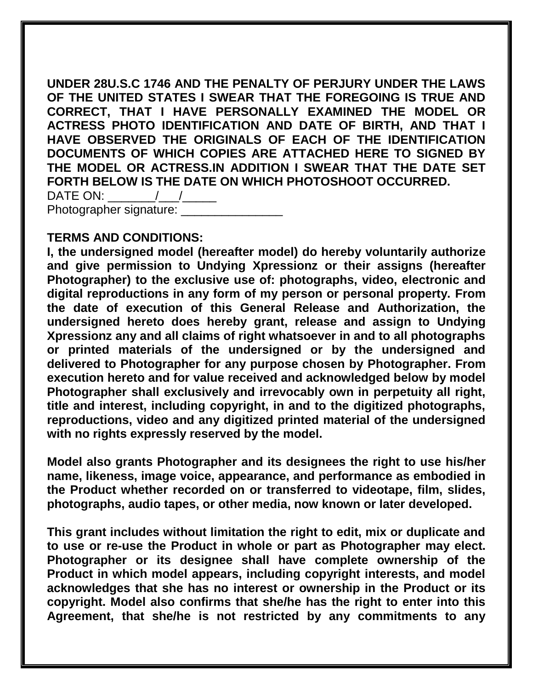**UNDER 28U.S.C 1746 AND THE PENALTY OF PERJURY UNDER THE LAWS OF THE UNITED STATES I SWEAR THAT THE FOREGOING IS TRUE AND CORRECT, THAT I HAVE PERSONALLY EXAMINED THE MODEL OR ACTRESS PHOTO IDENTIFICATION AND DATE OF BIRTH, AND THAT I HAVE OBSERVED THE ORIGINALS OF EACH OF THE IDENTIFICATION DOCUMENTS OF WHICH COPIES ARE ATTACHED HERE TO SIGNED BY THE MODEL OR ACTRESS.IN ADDITION I SWEAR THAT THE DATE SET FORTH BELOW IS THE DATE ON WHICH PHOTOSHOOT OCCURRED.** DATE ON: \_\_\_\_\_\_\_/\_\_\_/\_\_\_\_\_

Photographer signature:

## **TERMS AND CONDITIONS:**

**I, the undersigned model (hereafter model) do hereby voluntarily authorize and give permission to Undying Xpressionz or their assigns (hereafter Photographer) to the exclusive use of: photographs, video, electronic and digital reproductions in any form of my person or personal property. From the date of execution of this General Release and Authorization, the undersigned hereto does hereby grant, release and assign to Undying Xpressionz any and all claims of right whatsoever in and to all photographs or printed materials of the undersigned or by the undersigned and delivered to Photographer for any purpose chosen by Photographer. From execution hereto and for value received and acknowledged below by model Photographer shall exclusively and irrevocably own in perpetuity all right, title and interest, including copyright, in and to the digitized photographs, reproductions, video and any digitized printed material of the undersigned with no rights expressly reserved by the model.**

**Model also grants Photographer and its designees the right to use his/her name, likeness, image voice, appearance, and performance as embodied in the Product whether recorded on or transferred to videotape, film, slides, photographs, audio tapes, or other media, now known or later developed.**

**This grant includes without limitation the right to edit, mix or duplicate and to use or re-use the Product in whole or part as Photographer may elect. Photographer or its designee shall have complete ownership of the Product in which model appears, including copyright interests, and model acknowledges that she has no interest or ownership in the Product or its copyright. Model also confirms that she/he has the right to enter into this Agreement, that she/he is not restricted by any commitments to any**